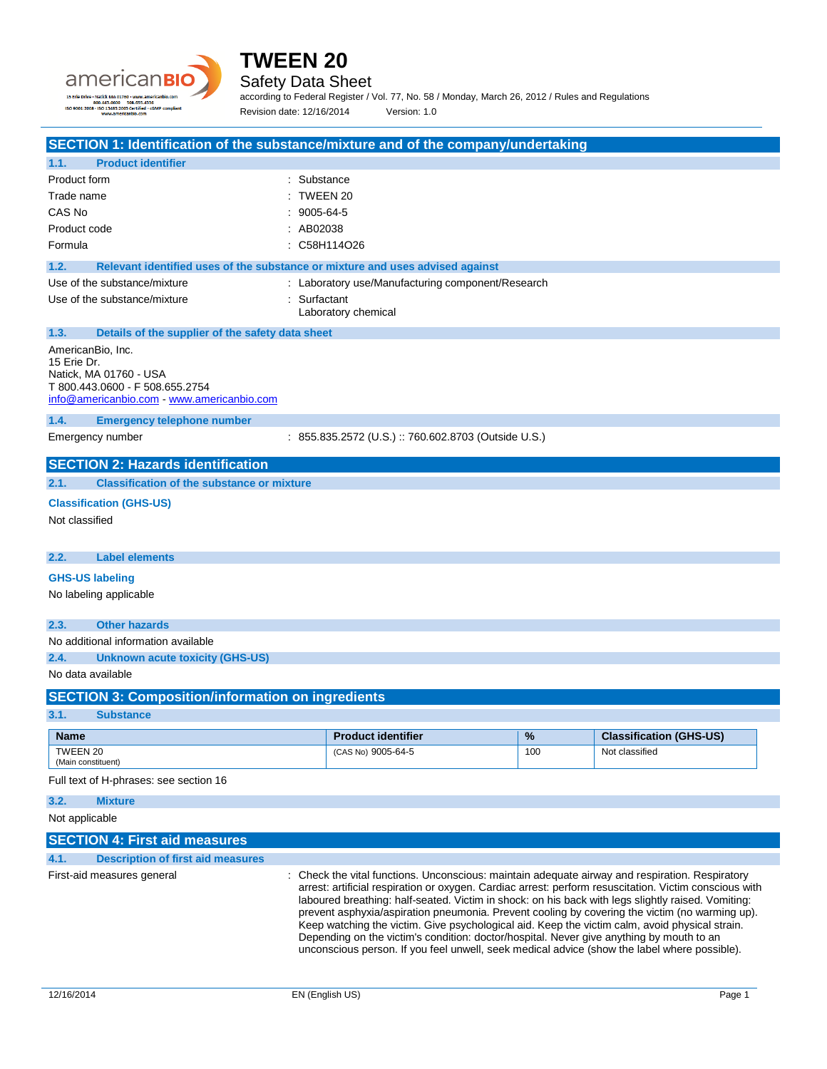



Safety Data Sheet

according to Federal Register / Vol. 77, No. 58 / Monday, March 26, 2012 / Rules and Regulations Revision date: 12/16/2014 Version: 1.0

| SECTION 1: Identification of the substance/mixture and of the company/undertaking |  |
|-----------------------------------------------------------------------------------|--|
|                                                                                   |  |

| 1.1.                             | <b>Product identifier</b>                                                                             |            |                                                                                                                                                                                                                                                                                                                                                                                                                                                                                                                                                                                                                                                                                                               |     |                                |
|----------------------------------|-------------------------------------------------------------------------------------------------------|------------|---------------------------------------------------------------------------------------------------------------------------------------------------------------------------------------------------------------------------------------------------------------------------------------------------------------------------------------------------------------------------------------------------------------------------------------------------------------------------------------------------------------------------------------------------------------------------------------------------------------------------------------------------------------------------------------------------------------|-----|--------------------------------|
| Product form                     |                                                                                                       | Substance  |                                                                                                                                                                                                                                                                                                                                                                                                                                                                                                                                                                                                                                                                                                               |     |                                |
| Trade name                       |                                                                                                       | TWEEN 20   |                                                                                                                                                                                                                                                                                                                                                                                                                                                                                                                                                                                                                                                                                                               |     |                                |
| CAS No                           |                                                                                                       | 9005-64-5  |                                                                                                                                                                                                                                                                                                                                                                                                                                                                                                                                                                                                                                                                                                               |     |                                |
|                                  | AB02038<br>Product code                                                                               |            |                                                                                                                                                                                                                                                                                                                                                                                                                                                                                                                                                                                                                                                                                                               |     |                                |
| Formula                          |                                                                                                       |            | C58H114O26                                                                                                                                                                                                                                                                                                                                                                                                                                                                                                                                                                                                                                                                                                    |     |                                |
| 1.2.                             | Relevant identified uses of the substance or mixture and uses advised against                         |            |                                                                                                                                                                                                                                                                                                                                                                                                                                                                                                                                                                                                                                                                                                               |     |                                |
|                                  | Use of the substance/mixture                                                                          |            | : Laboratory use/Manufacturing component/Research                                                                                                                                                                                                                                                                                                                                                                                                                                                                                                                                                                                                                                                             |     |                                |
|                                  | Use of the substance/mixture                                                                          | Surfactant | Laboratory chemical                                                                                                                                                                                                                                                                                                                                                                                                                                                                                                                                                                                                                                                                                           |     |                                |
| 1.3.                             | Details of the supplier of the safety data sheet                                                      |            |                                                                                                                                                                                                                                                                                                                                                                                                                                                                                                                                                                                                                                                                                                               |     |                                |
| AmericanBio, Inc.<br>15 Erie Dr. | Natick, MA 01760 - USA<br>T 800.443.0600 - F 508.655.2754<br>info@americanbio.com www.americanbio.com |            |                                                                                                                                                                                                                                                                                                                                                                                                                                                                                                                                                                                                                                                                                                               |     |                                |
| 1.4.                             | <b>Emergency telephone number</b>                                                                     |            |                                                                                                                                                                                                                                                                                                                                                                                                                                                                                                                                                                                                                                                                                                               |     |                                |
|                                  | Emergency number                                                                                      |            | : 855.835.2572 (U.S.) :: 760.602.8703 (Outside U.S.)                                                                                                                                                                                                                                                                                                                                                                                                                                                                                                                                                                                                                                                          |     |                                |
|                                  | <b>SECTION 2: Hazards identification</b>                                                              |            |                                                                                                                                                                                                                                                                                                                                                                                                                                                                                                                                                                                                                                                                                                               |     |                                |
| 2.1.                             | <b>Classification of the substance or mixture</b>                                                     |            |                                                                                                                                                                                                                                                                                                                                                                                                                                                                                                                                                                                                                                                                                                               |     |                                |
|                                  | <b>Classification (GHS-US)</b>                                                                        |            |                                                                                                                                                                                                                                                                                                                                                                                                                                                                                                                                                                                                                                                                                                               |     |                                |
| Not classified                   |                                                                                                       |            |                                                                                                                                                                                                                                                                                                                                                                                                                                                                                                                                                                                                                                                                                                               |     |                                |
| 2.2.                             | <b>Label elements</b>                                                                                 |            |                                                                                                                                                                                                                                                                                                                                                                                                                                                                                                                                                                                                                                                                                                               |     |                                |
| <b>GHS-US labeling</b>           |                                                                                                       |            |                                                                                                                                                                                                                                                                                                                                                                                                                                                                                                                                                                                                                                                                                                               |     |                                |
|                                  | No labeling applicable                                                                                |            |                                                                                                                                                                                                                                                                                                                                                                                                                                                                                                                                                                                                                                                                                                               |     |                                |
| 2.3.                             | <b>Other hazards</b>                                                                                  |            |                                                                                                                                                                                                                                                                                                                                                                                                                                                                                                                                                                                                                                                                                                               |     |                                |
|                                  | No additional information available                                                                   |            |                                                                                                                                                                                                                                                                                                                                                                                                                                                                                                                                                                                                                                                                                                               |     |                                |
| 2.4.                             | <b>Unknown acute toxicity (GHS-US)</b>                                                                |            |                                                                                                                                                                                                                                                                                                                                                                                                                                                                                                                                                                                                                                                                                                               |     |                                |
| No data available                |                                                                                                       |            |                                                                                                                                                                                                                                                                                                                                                                                                                                                                                                                                                                                                                                                                                                               |     |                                |
|                                  | <b>SECTION 3: Composition/information on ingredients</b>                                              |            |                                                                                                                                                                                                                                                                                                                                                                                                                                                                                                                                                                                                                                                                                                               |     |                                |
| 3.1.                             | <b>Substance</b>                                                                                      |            |                                                                                                                                                                                                                                                                                                                                                                                                                                                                                                                                                                                                                                                                                                               |     |                                |
| <b>Name</b>                      |                                                                                                       |            | <b>Product identifier</b>                                                                                                                                                                                                                                                                                                                                                                                                                                                                                                                                                                                                                                                                                     | %   | <b>Classification (GHS-US)</b> |
| TWEEN 20<br>(Main constituent)   |                                                                                                       |            | (CAS No) 9005-64-5                                                                                                                                                                                                                                                                                                                                                                                                                                                                                                                                                                                                                                                                                            | 100 | Not classified                 |
|                                  | Full text of H-phrases: see section 16                                                                |            |                                                                                                                                                                                                                                                                                                                                                                                                                                                                                                                                                                                                                                                                                                               |     |                                |
| 3.2.                             | <b>Mixture</b>                                                                                        |            |                                                                                                                                                                                                                                                                                                                                                                                                                                                                                                                                                                                                                                                                                                               |     |                                |
| Not applicable                   |                                                                                                       |            |                                                                                                                                                                                                                                                                                                                                                                                                                                                                                                                                                                                                                                                                                                               |     |                                |
|                                  | <b>SECTION 4: First aid measures</b>                                                                  |            |                                                                                                                                                                                                                                                                                                                                                                                                                                                                                                                                                                                                                                                                                                               |     |                                |
| 4.1.                             | <b>Description of first aid measures</b>                                                              |            |                                                                                                                                                                                                                                                                                                                                                                                                                                                                                                                                                                                                                                                                                                               |     |                                |
|                                  | First-aid measures general                                                                            |            | Check the vital functions. Unconscious: maintain adequate airway and respiration. Respiratory<br>arrest: artificial respiration or oxygen. Cardiac arrest: perform resuscitation. Victim conscious with<br>laboured breathing: half-seated. Victim in shock: on his back with legs slightly raised. Vomiting:<br>prevent asphyxia/aspiration pneumonia. Prevent cooling by covering the victim (no warming up).<br>Keep watching the victim. Give psychological aid. Keep the victim calm, avoid physical strain.<br>Depending on the victim's condition: doctor/hospital. Never give anything by mouth to an<br>unconscious person. If you feel unwell, seek medical advice (show the label where possible). |     |                                |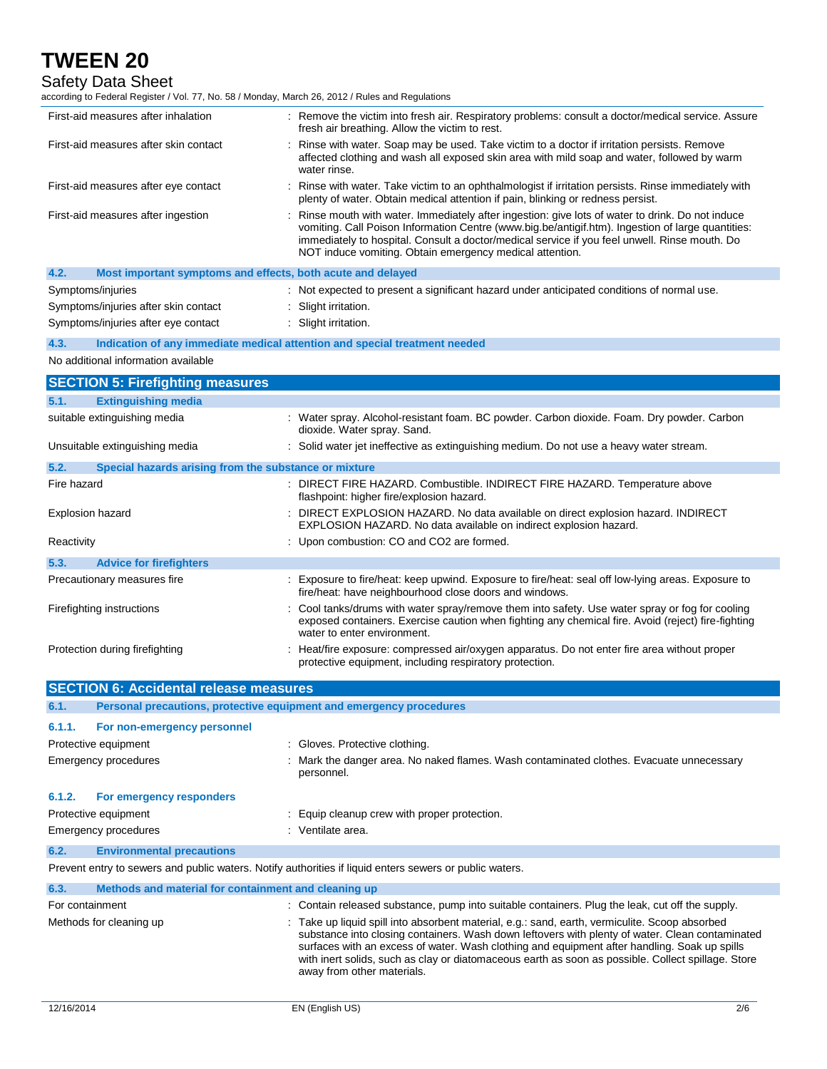Safety Data Sheet

according to Federal Register / Vol. 77, No. 58 / Monday, March 26, 2012 / Rules and Regulations

| First-aid measures after inhalation                                                                     | : Remove the victim into fresh air. Respiratory problems: consult a doctor/medical service. Assure<br>fresh air breathing. Allow the victim to rest.                                                                                                                                                                                                                                                                                  |  |  |
|---------------------------------------------------------------------------------------------------------|---------------------------------------------------------------------------------------------------------------------------------------------------------------------------------------------------------------------------------------------------------------------------------------------------------------------------------------------------------------------------------------------------------------------------------------|--|--|
| First-aid measures after skin contact                                                                   | Rinse with water. Soap may be used. Take victim to a doctor if irritation persists. Remove<br>affected clothing and wash all exposed skin area with mild soap and water, followed by warm<br>water rinse.                                                                                                                                                                                                                             |  |  |
| First-aid measures after eye contact                                                                    | Rinse with water. Take victim to an ophthalmologist if irritation persists. Rinse immediately with<br>plenty of water. Obtain medical attention if pain, blinking or redness persist.                                                                                                                                                                                                                                                 |  |  |
| First-aid measures after ingestion                                                                      | Rinse mouth with water. Immediately after ingestion: give lots of water to drink. Do not induce<br>vomiting. Call Poison Information Centre (www.big.be/antigif.htm). Ingestion of large quantities:<br>immediately to hospital. Consult a doctor/medical service if you feel unwell. Rinse mouth. Do<br>NOT induce vomiting. Obtain emergency medical attention.                                                                     |  |  |
| 4.2.<br>Most important symptoms and effects, both acute and delayed                                     |                                                                                                                                                                                                                                                                                                                                                                                                                                       |  |  |
| Symptoms/injuries                                                                                       | : Not expected to present a significant hazard under anticipated conditions of normal use.                                                                                                                                                                                                                                                                                                                                            |  |  |
| Symptoms/injuries after skin contact                                                                    | : Slight irritation.                                                                                                                                                                                                                                                                                                                                                                                                                  |  |  |
| Symptoms/injuries after eye contact                                                                     | : Slight irritation.                                                                                                                                                                                                                                                                                                                                                                                                                  |  |  |
| Indication of any immediate medical attention and special treatment needed<br>4.3.                      |                                                                                                                                                                                                                                                                                                                                                                                                                                       |  |  |
| No additional information available                                                                     |                                                                                                                                                                                                                                                                                                                                                                                                                                       |  |  |
| <b>SECTION 5: Firefighting measures</b>                                                                 |                                                                                                                                                                                                                                                                                                                                                                                                                                       |  |  |
| <b>Extinguishing media</b><br>5.1.                                                                      |                                                                                                                                                                                                                                                                                                                                                                                                                                       |  |  |
| suitable extinguishing media                                                                            | : Water spray. Alcohol-resistant foam. BC powder. Carbon dioxide. Foam. Dry powder. Carbon                                                                                                                                                                                                                                                                                                                                            |  |  |
|                                                                                                         | dioxide. Water spray. Sand.                                                                                                                                                                                                                                                                                                                                                                                                           |  |  |
| Unsuitable extinguishing media                                                                          | : Solid water jet ineffective as extinguishing medium. Do not use a heavy water stream.                                                                                                                                                                                                                                                                                                                                               |  |  |
| 5.2.<br>Special hazards arising from the substance or mixture                                           |                                                                                                                                                                                                                                                                                                                                                                                                                                       |  |  |
| Fire hazard                                                                                             | : DIRECT FIRE HAZARD. Combustible. INDIRECT FIRE HAZARD. Temperature above<br>flashpoint: higher fire/explosion hazard.                                                                                                                                                                                                                                                                                                               |  |  |
| Explosion hazard                                                                                        | DIRECT EXPLOSION HAZARD. No data available on direct explosion hazard. INDIRECT<br>EXPLOSION HAZARD. No data available on indirect explosion hazard.                                                                                                                                                                                                                                                                                  |  |  |
| Reactivity                                                                                              | : Upon combustion: CO and CO2 are formed.                                                                                                                                                                                                                                                                                                                                                                                             |  |  |
| 5.3.<br><b>Advice for firefighters</b>                                                                  |                                                                                                                                                                                                                                                                                                                                                                                                                                       |  |  |
| Precautionary measures fire                                                                             | : Exposure to fire/heat: keep upwind. Exposure to fire/heat: seal off low-lying areas. Exposure to<br>fire/heat: have neighbourhood close doors and windows.                                                                                                                                                                                                                                                                          |  |  |
| Firefighting instructions                                                                               | Cool tanks/drums with water spray/remove them into safety. Use water spray or fog for cooling<br>exposed containers. Exercise caution when fighting any chemical fire. Avoid (reject) fire-fighting<br>water to enter environment.                                                                                                                                                                                                    |  |  |
| Protection during firefighting                                                                          | : Heat/fire exposure: compressed air/oxygen apparatus. Do not enter fire area without proper<br>protective equipment, including respiratory protection.                                                                                                                                                                                                                                                                               |  |  |
| <b>SECTION 6: Accidental release measures</b>                                                           |                                                                                                                                                                                                                                                                                                                                                                                                                                       |  |  |
| Personal precautions, protective equipment and emergency procedures<br>6.1.                             |                                                                                                                                                                                                                                                                                                                                                                                                                                       |  |  |
| 6.1.1.<br>For non-emergency personnel                                                                   |                                                                                                                                                                                                                                                                                                                                                                                                                                       |  |  |
| Protective equipment                                                                                    | : Gloves. Protective clothing.                                                                                                                                                                                                                                                                                                                                                                                                        |  |  |
| Emergency procedures                                                                                    | : Mark the danger area. No naked flames. Wash contaminated clothes. Evacuate unnecessary<br>personnel.                                                                                                                                                                                                                                                                                                                                |  |  |
| 6.1.2.<br>For emergency responders                                                                      |                                                                                                                                                                                                                                                                                                                                                                                                                                       |  |  |
| Protective equipment                                                                                    | : Equip cleanup crew with proper protection.                                                                                                                                                                                                                                                                                                                                                                                          |  |  |
| Emergency procedures                                                                                    | : Ventilate area.                                                                                                                                                                                                                                                                                                                                                                                                                     |  |  |
| 6.2.<br><b>Environmental precautions</b>                                                                |                                                                                                                                                                                                                                                                                                                                                                                                                                       |  |  |
| Prevent entry to sewers and public waters. Notify authorities if liquid enters sewers or public waters. |                                                                                                                                                                                                                                                                                                                                                                                                                                       |  |  |
| 6.3.<br>Methods and material for containment and cleaning up                                            |                                                                                                                                                                                                                                                                                                                                                                                                                                       |  |  |
| For containment                                                                                         | : Contain released substance, pump into suitable containers. Plug the leak, cut off the supply.                                                                                                                                                                                                                                                                                                                                       |  |  |
| Methods for cleaning up                                                                                 | : Take up liquid spill into absorbent material, e.g.: sand, earth, vermiculite. Scoop absorbed<br>substance into closing containers. Wash down leftovers with plenty of water. Clean contaminated<br>surfaces with an excess of water. Wash clothing and equipment after handling. Soak up spills<br>with inert solids, such as clay or diatomaceous earth as soon as possible. Collect spillage. Store<br>away from other materials. |  |  |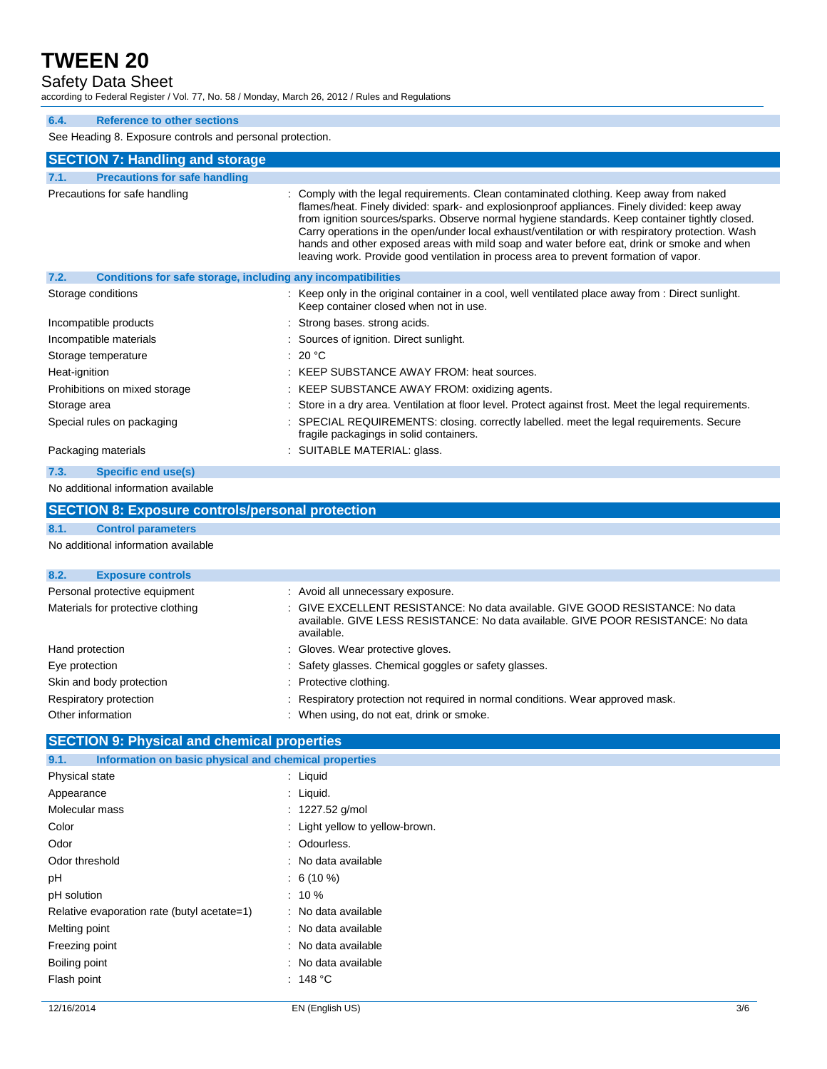Safety Data Sheet

according to Federal Register / Vol. 77, No. 58 / Monday, March 26, 2012 / Rules and Regulations

### **6.4. Reference to other sections**

See Heading 8. Exposure controls and personal protection.

| See Heading 6. Exposure controls and personal protection.            |                                                                                                                                                                                                                                                                                                                                                                                                                                                                                                                                                                                       |  |
|----------------------------------------------------------------------|---------------------------------------------------------------------------------------------------------------------------------------------------------------------------------------------------------------------------------------------------------------------------------------------------------------------------------------------------------------------------------------------------------------------------------------------------------------------------------------------------------------------------------------------------------------------------------------|--|
| <b>SECTION 7: Handling and storage</b>                               |                                                                                                                                                                                                                                                                                                                                                                                                                                                                                                                                                                                       |  |
| <b>Precautions for safe handling</b><br>7.1.                         |                                                                                                                                                                                                                                                                                                                                                                                                                                                                                                                                                                                       |  |
| Precautions for safe handling                                        | : Comply with the legal requirements. Clean contaminated clothing. Keep away from naked<br>flames/heat. Finely divided: spark- and explosionproof appliances. Finely divided: keep away<br>from ignition sources/sparks. Observe normal hygiene standards. Keep container tightly closed.<br>Carry operations in the open/under local exhaust/ventilation or with respiratory protection. Wash<br>hands and other exposed areas with mild soap and water before eat, drink or smoke and when<br>leaving work. Provide good ventilation in process area to prevent formation of vapor. |  |
| 7.2.<br>Conditions for safe storage, including any incompatibilities |                                                                                                                                                                                                                                                                                                                                                                                                                                                                                                                                                                                       |  |
| Storage conditions                                                   | : Keep only in the original container in a cool, well ventilated place away from : Direct sunlight.<br>Keep container closed when not in use.                                                                                                                                                                                                                                                                                                                                                                                                                                         |  |
| Incompatible products                                                | Strong bases, strong acids.                                                                                                                                                                                                                                                                                                                                                                                                                                                                                                                                                           |  |
| Incompatible materials                                               | : Sources of ignition. Direct sunlight.                                                                                                                                                                                                                                                                                                                                                                                                                                                                                                                                               |  |
| Storage temperature                                                  | : 20 $^{\circ}$ C                                                                                                                                                                                                                                                                                                                                                                                                                                                                                                                                                                     |  |
| Heat-ignition                                                        | : KEEP SUBSTANCE AWAY FROM: heat sources.                                                                                                                                                                                                                                                                                                                                                                                                                                                                                                                                             |  |
| Prohibitions on mixed storage                                        | : KEEP SUBSTANCE AWAY FROM: oxidizing agents.                                                                                                                                                                                                                                                                                                                                                                                                                                                                                                                                         |  |
| Storage area                                                         | : Store in a dry area. Ventilation at floor level. Protect against frost. Meet the legal requirements.                                                                                                                                                                                                                                                                                                                                                                                                                                                                                |  |
| Special rules on packaging                                           | : SPECIAL REQUIREMENTS: closing. correctly labelled. meet the legal requirements. Secure<br>fragile packagings in solid containers.                                                                                                                                                                                                                                                                                                                                                                                                                                                   |  |
| Packaging materials                                                  | : SUITABLE MATERIAL: glass.                                                                                                                                                                                                                                                                                                                                                                                                                                                                                                                                                           |  |
| <b>Specific end use(s)</b><br>7.3.                                   |                                                                                                                                                                                                                                                                                                                                                                                                                                                                                                                                                                                       |  |
| No additional information available                                  |                                                                                                                                                                                                                                                                                                                                                                                                                                                                                                                                                                                       |  |
| <b>SECTION 8: Exposure controls/personal protection</b>              |                                                                                                                                                                                                                                                                                                                                                                                                                                                                                                                                                                                       |  |
| 8.1.<br><b>Control parameters</b>                                    |                                                                                                                                                                                                                                                                                                                                                                                                                                                                                                                                                                                       |  |
| No additional information available                                  |                                                                                                                                                                                                                                                                                                                                                                                                                                                                                                                                                                                       |  |
| 8.2.<br><b>Exposure controls</b>                                     |                                                                                                                                                                                                                                                                                                                                                                                                                                                                                                                                                                                       |  |
| Personal protective equipment                                        | : Avoid all unnecessary exposure.                                                                                                                                                                                                                                                                                                                                                                                                                                                                                                                                                     |  |
| Materials for protective clothing                                    | : GIVE EXCELLENT RESISTANCE: No data available. GIVE GOOD RESISTANCE: No data<br>available. GIVE LESS RESISTANCE: No data available. GIVE POOR RESISTANCE: No data<br>available.                                                                                                                                                                                                                                                                                                                                                                                                      |  |
| Hand protection                                                      | Gloves. Wear protective gloves.                                                                                                                                                                                                                                                                                                                                                                                                                                                                                                                                                       |  |
| Eye protection                                                       | Safety glasses. Chemical goggles or safety glasses.                                                                                                                                                                                                                                                                                                                                                                                                                                                                                                                                   |  |
| Skin and body protection<br>: Protective clothing.                   |                                                                                                                                                                                                                                                                                                                                                                                                                                                                                                                                                                                       |  |

- Respiratory protection : Respiratory protection not required in normal conditions. Wear approved mask.
- Other information **contact of the information** : When using, do not eat, drink or smoke.

### **SECTION 9: Physical and chemical properties**

| Information on basic physical and chemical properties<br>9.1. |                                 |
|---------------------------------------------------------------|---------------------------------|
| Physical state                                                | $:$ Liquid                      |
| Appearance                                                    | : Liquid.                       |
| Molecular mass                                                | : 1227.52 g/mol                 |
| Color                                                         | : Light yellow to yellow-brown. |
| Odor                                                          | : Odourless.                    |
| Odor threshold                                                | : No data available             |
| рH                                                            | $: 6(10\%)$                     |
| pH solution                                                   | $: 10 \%$                       |
| Relative evaporation rate (butyl acetate=1)                   | : No data available             |
| Melting point                                                 | : No data available             |
| Freezing point                                                | : No data available             |
| Boiling point                                                 | : No data available             |
| Flash point                                                   | : 148 °C                        |
|                                                               |                                 |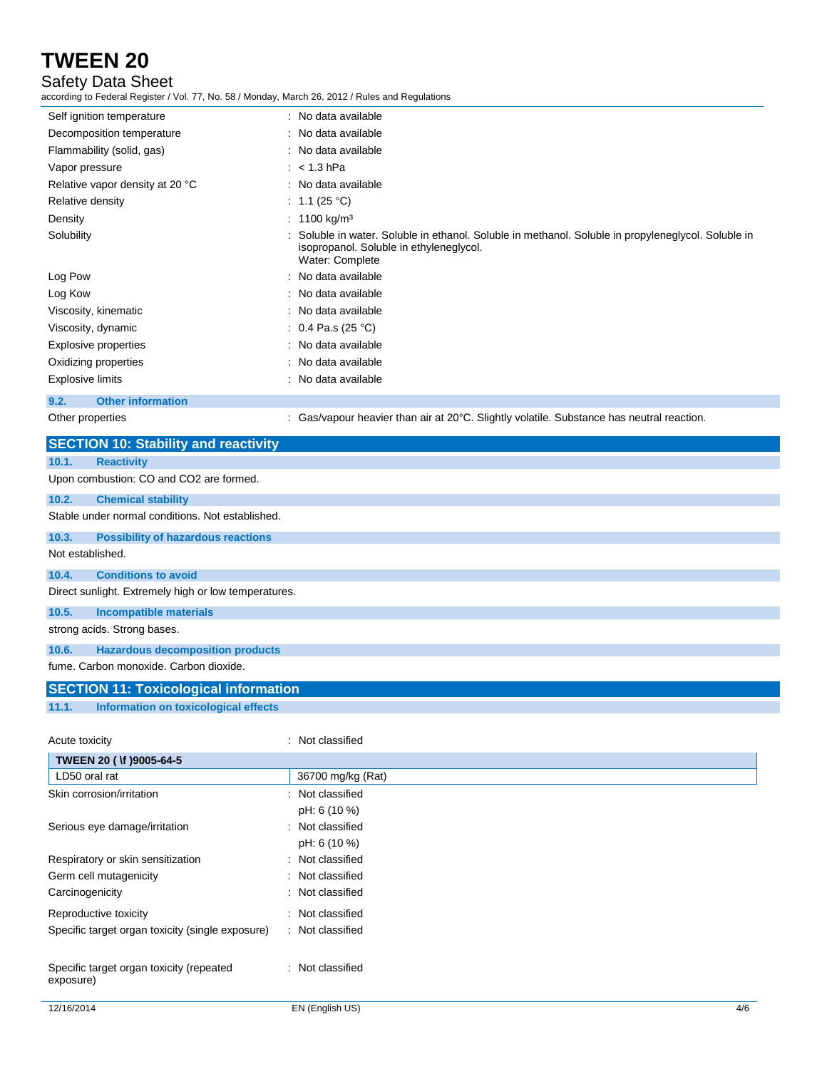### Safety Data Sheet

according to Federal Register / Vol. 77, No. 58 / Monday, March 26, 2012 / Rules and Regulations

| Self ignition temperature       | : No data available                                                                                                                                               |
|---------------------------------|-------------------------------------------------------------------------------------------------------------------------------------------------------------------|
| Decomposition temperature       | : No data available                                                                                                                                               |
| Flammability (solid, gas)       | : No data available                                                                                                                                               |
| Vapor pressure                  | $:$ < 1.3 hPa                                                                                                                                                     |
| Relative vapor density at 20 °C | : No data available                                                                                                                                               |
| Relative density                | : 1.1 (25 °C)                                                                                                                                                     |
| Density                         | : 1100 kg/m <sup>3</sup>                                                                                                                                          |
| Solubility                      | : Soluble in water. Soluble in ethanol. Soluble in methanol. Soluble in propyleneglycol. Soluble in<br>isopropanol. Soluble in ethyleneglycol.<br>Water: Complete |
| Log Pow                         | : No data available                                                                                                                                               |
| Log Kow                         | : No data available                                                                                                                                               |
| Viscosity, kinematic            | : No data available                                                                                                                                               |
| Viscosity, dynamic              | : $0.4$ Pa.s (25 °C)                                                                                                                                              |
| Explosive properties            | : No data available                                                                                                                                               |
| Oxidizing properties            | : No data available                                                                                                                                               |
| <b>Explosive limits</b>         | : No data available                                                                                                                                               |
|                                 |                                                                                                                                                                   |

## **9.2. Other information**

Other properties : Gas/vapour heavier than air at 20°C. Slightly volatile. Substance has neutral reaction.

|                  | <b>SECTION 10: Stability and reactivity</b>          |                  |
|------------------|------------------------------------------------------|------------------|
| 10.1.            | <b>Reactivity</b>                                    |                  |
|                  | Upon combustion: CO and CO2 are formed.              |                  |
| 10.2.            | <b>Chemical stability</b>                            |                  |
|                  | Stable under normal conditions. Not established.     |                  |
| 10.3.            | <b>Possibility of hazardous reactions</b>            |                  |
| Not established. |                                                      |                  |
| 10.4.            | <b>Conditions to avoid</b>                           |                  |
|                  | Direct sunlight. Extremely high or low temperatures. |                  |
| 10.5.            | <b>Incompatible materials</b>                        |                  |
|                  | strong acids. Strong bases.                          |                  |
| 10.6.            | <b>Hazardous decomposition products</b>              |                  |
|                  | fume. Carbon monoxide. Carbon dioxide.               |                  |
|                  | <b>SECTION 11: Toxicological information</b>         |                  |
| 11.1.            | Information on toxicological effects                 |                  |
| Acute toxicity   |                                                      | : Not classified |

| TWEEN 20 ( \f )9005-64-5                              |                   |
|-------------------------------------------------------|-------------------|
| LD50 oral rat                                         | 36700 mg/kg (Rat) |
| Skin corrosion/irritation                             | : Not classified  |
|                                                       | pH: 6 (10 %)      |
| Serious eye damage/irritation                         | : Not classified  |
|                                                       | pH: 6 (10 %)      |
| Respiratory or skin sensitization                     | : Not classified  |
| Germ cell mutagenicity                                | : Not classified  |
| Carcinogenicity                                       | : Not classified  |
| Reproductive toxicity                                 | : Not classified  |
| Specific target organ toxicity (single exposure)      | : Not classified  |
| Specific target organ toxicity (repeated<br>exposure) | : Not classified  |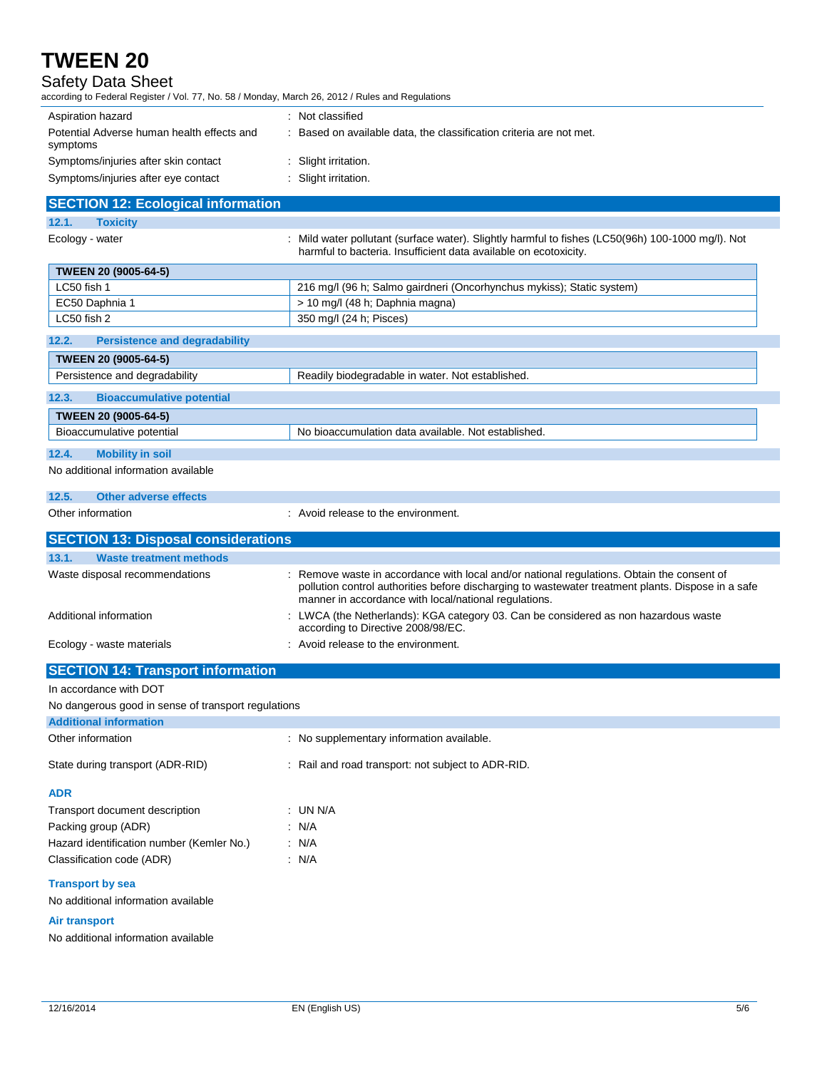## Safety Data Sheet

according to Federal Register / Vol. 77, No. 58 / Monday, March 26, 2012 / Rules and Regulations

| Aspiration hazard                                      | : Not classified                                                    |
|--------------------------------------------------------|---------------------------------------------------------------------|
| Potential Adverse human health effects and<br>symptoms | : Based on available data, the classification criteria are not met. |
| Symptoms/injuries after skin contact                   | : Slight irritation.                                                |
| Symptoms/injuries after eye contact                    | : Slight irritation.                                                |

## **SECTION 12: Ecological information**

**12.1. Toxicity**

Ecology - water : Mild water pollutant (surface water). Slightly harmful to fishes (LC50(96h) 100-1000 mg/l). Not harmful to bacteria. Insufficient data available on ecotoxicity.

| <b>TWEEN 20 (9005-64-5)</b> |                                                                       |
|-----------------------------|-----------------------------------------------------------------------|
| LC50 fish 1                 | 216 mg/l (96 h; Salmo gairdneri (Oncorhynchus mykiss); Static system) |
| EC50 Daphnia 1              | > 10 mg/l (48 h; Daphnia magna)                                       |
| LC50 fish 2                 | 350 mg/l (24 h; Pisces)                                               |
|                             |                                                                       |

## **12.2. Persistence and degradability TWEEN 20 (9005-64-5)** Persistence and degradability Readily biodegradable in water. Not established. **12.3. Bioaccumulative potential TWEEN 20 (9005-64-5)** Bioaccumulative potential No bioaccumulation data available. Not established.

### **12.4. Mobility in soil**

#### No additional information available

| 12.5. | <b>Other adverse effects</b> |  |
|-------|------------------------------|--|

Other information **COLOREGY COLOREGY COLOREGY COLOREGY COLOREGY COLOREGY COLOREGY COLOREGY COLOREGY COLOREGY COLOREGY COLOREGY COLOREGY COLOREGY COLOREGY COLOREGY COLOREGY COLOREGY COLOR** 

| <b>SECTION 13: Disposal considerations</b> |                                                                                                                                                                                                                                                           |  |  |
|--------------------------------------------|-----------------------------------------------------------------------------------------------------------------------------------------------------------------------------------------------------------------------------------------------------------|--|--|
| <b>Waste treatment methods</b><br>13.1.    |                                                                                                                                                                                                                                                           |  |  |
| Waste disposal recommendations             | : Remove waste in accordance with local and/or national regulations. Obtain the consent of<br>pollution control authorities before discharging to wastewater treatment plants. Dispose in a safe<br>manner in accordance with local/national regulations. |  |  |
| Additional information                     | : LWCA (the Netherlands): KGA category 03. Can be considered as non hazardous waste<br>according to Directive 2008/98/EC.                                                                                                                                 |  |  |
| Ecology - waste materials                  | : Avoid release to the environment.                                                                                                                                                                                                                       |  |  |

## **SECTION 14: Transport information**

#### In accordance with DOT

No dangerous good in sense of transport regulations

| <b>Additional information</b>             |                                                    |
|-------------------------------------------|----------------------------------------------------|
| Other information                         | : No supplementary information available.          |
| State during transport (ADR-RID)          | : Rail and road transport: not subject to ADR-RID. |
| <b>ADR</b>                                |                                                    |
| Transport document description            | : UN N/A                                           |
| Packing group (ADR)                       | $\therefore$ N/A                                   |
| Hazard identification number (Kemler No.) | : N/A                                              |
| Classification code (ADR)                 | : N/A                                              |
| <b>Transport by sea</b>                   |                                                    |
| No additional information available       |                                                    |
| Air transport                             |                                                    |

No additional information available